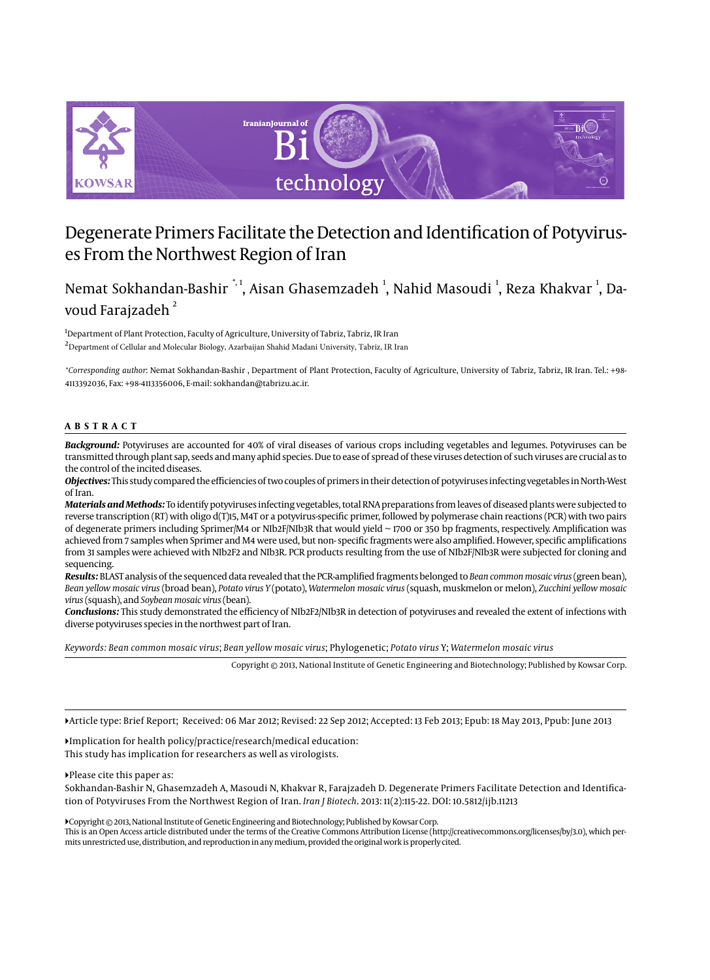

# Degenerate Primers Facilitate the Detection and Identification of Potyviruses From the Northwest Region of Iran

# Nemat Sokhandan-Bashir  $^{\ast,1}$ , Aisan Ghasemzadeh  $^1$ , Nahid Masoudi  $^1$ , Reza Khakvar  $^1$ , Davoud Farajzadeh<sup>2</sup>

<sup>1</sup>Department of Plant Protection, Faculty of Agriculture, University of Tabriz, Tabriz, IR Iran <sup>2</sup>Department of Cellular and Molecular Biology, Azarbaijan Shahid Madani University, Tabriz, IR Iran

*\*Corresponding author*: Nemat Sokhandan-Bashir , Department of Plant Protection, Faculty of Agriculture, University of Tabriz, Tabriz, IR Iran. Tel.: +98- 4113392036, Fax: +98-4113356006, E-mail: sokhandan@tabrizu.ac.ir.

### **ABSTRACT**

*Background:* Potyviruses are accounted for 40% of viral diseases of various crops including vegetables and legumes. Potyviruses can be transmitted through plant sap, seeds and many aphid species. Due to ease of spread of these viruses detection of such viruses are crucial as to the control of the incited diseases.

*Objectives:* This study compared the efficiencies of two couples of primers in their detection of potyviruses infecting vegetables in North-West of Iran.

*Materials and Methods:* To identify potyviruses infecting vegetables, total RNA preparations from leaves of diseased plants were subjected to reverse transcription (RT) with oligo d(T)15, M4T or a potyvirus-specific primer, followed by polymerase chain reactions (PCR) with two pairs of degenerate primers including Sprimer/M4 or NIb2F/NIb3R that would yield ~ 1700 or 350 bp fragments, respectively. Amplification was achieved from 7 samples when Sprimer and M4 were used, but non- specific fragments were also amplified. However, specific amplifications from 31 samples were achieved with NIb2F2 and NIb3R. PCR products resulting from the use of NIb2F/NIb3R were subjected for cloning and sequencing.

*Results:* BLAST analysis of the sequenced data revealed that the PCR-amplified fragments belonged to *Bean common mosaic virus* (green bean), *Bean yellow mosaic virus* (broad bean), *Potato virus Y* (potato), *Watermelon mosaic virus* (squash, muskmelon or melon), *Zucchini yellow mosaic virus* (squash), and *Soybean mosaic virus* (bean).

*Conclusions:* This study demonstrated the efficiency of NIb2F2/NIb3R in detection of potyviruses and revealed the extent of infections with diverse potyviruses species in the northwest part of Iran.

*Keywords: Bean common mosaic virus*; *Bean yellow mosaic virus*; Phylogenetic; *Potato virus* Y; *Watermelon mosaic virus*

Copyright © 2013, National Institute of Genetic Engineering and Biotechnology; Published by Kowsar Corp.

Article type: Brief Report; Received: 06 Mar 2012; Revised: 22 Sep 2012; Accepted: 13 Feb 2013; Epub: 18 May 2013, Ppub: June 2013

Implication for health policy/practice/research/medical education: This study has implication for researchers as well as virologists.

Please cite this paper as:

Sokhandan-Bashir N, Ghasemzadeh A, Masoudi N, Khakvar R, Farajzadeh D. Degenerate Primers Facilitate Detection and Identification of Potyviruses From the Northwest Region of Iran. *Iran J Biotech*. 2013: 11(2):115-22. DOI: 10.5812/ijb.11213

Copyright © 2013, National Institute of Genetic Engineering and Biotechnology; Published by Kowsar Corp.

This is an Open Access article distributed under the terms of the Creative Commons Attribution License (http://creativecommons.org/licenses/by/3.0), which permits unrestricted use, distribution, and reproduction in any medium, provided the original work is properly cited.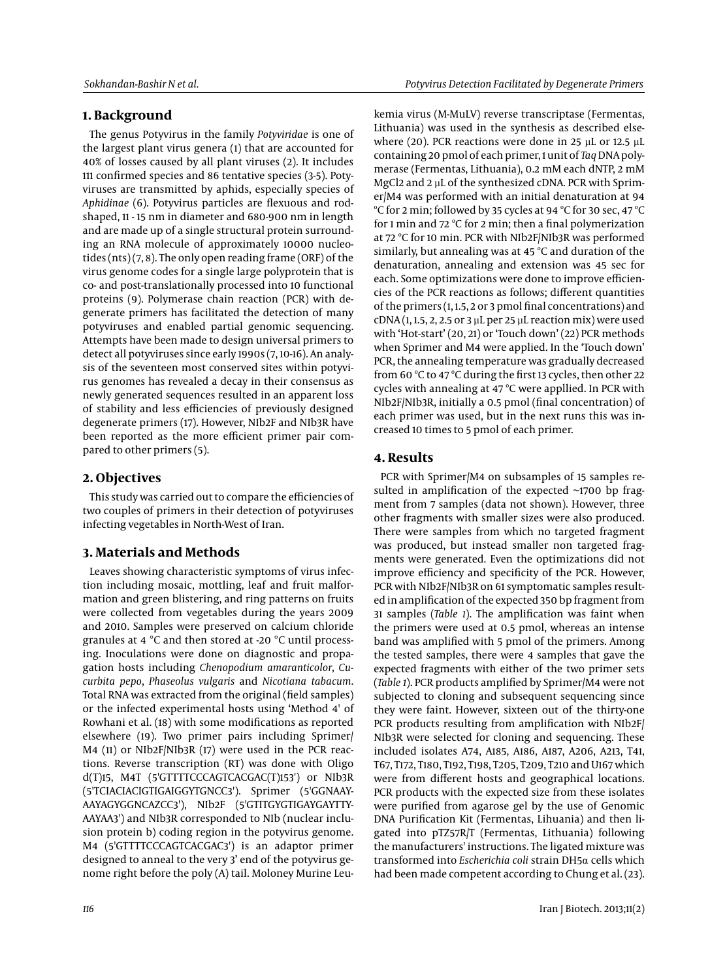# **1. Background**

The genus Potyvirus in the family *Potyviridae* is one of the largest plant virus genera (1) that are accounted for 40% of losses caused by all plant viruses (2). It includes 111 confirmed species and 86 tentative species (3-5). Potyviruses are transmitted by aphids, especially species of *Aphidinae* (6). Potyvirus particles are flexuous and rodshaped, 11 - 15 nm in diameter and 680-900 nm in length and are made up of a single structural protein surrounding an RNA molecule of approximately 10000 nucleotides (nts) (7, 8). The only open reading frame (ORF) of the virus genome codes for a single large polyprotein that is co- and post-translationally processed into 10 functional proteins (9). Polymerase chain reaction (PCR) with degenerate primers has facilitated the detection of many potyviruses and enabled partial genomic sequencing. Attempts have been made to design universal primers to detect all potyviruses since early 1990s (7, 10-16). An analysis of the seventeen most conserved sites within potyvirus genomes has revealed a decay in their consensus as newly generated sequences resulted in an apparent loss of stability and less efficiencies of previously designed degenerate primers (17). However, NIb2F and NIb3R have been reported as the more efficient primer pair compared to other primers (5).

# **2. Objectives**

This study was carried out to compare the efficiencies of two couples of primers in their detection of potyviruses infecting vegetables in North-West of Iran.

# **3. Materials and Methods**

Leaves showing characteristic symptoms of virus infection including mosaic, mottling, leaf and fruit malformation and green blistering, and ring patterns on fruits were collected from vegetables during the years 2009 and 2010. Samples were preserved on calcium chloride granules at 4 °C and then stored at -20 °C until processing. Inoculations were done on diagnostic and propagation hosts including *Chenopodium amaranticolor*, *Cucurbita pepo*, *Phaseolus vulgaris* and *Nicotiana tabacum*. Total RNA was extracted from the original (field samples) or the infected experimental hosts using 'Method 4' of Rowhani et al. (18) with some modifications as reported elsewhere (19). Two primer pairs including Sprimer/ M4 (11) or NIb2F/NIb3R (17) were used in the PCR reactions. Reverse transcription (RT) was done with Oligo d(T)15, M4T (5'GTTTTCCCAGTCACGAC(T)153') or NIb3R (5'TCIACIACIGTIGAIGGYTGNCC3'). Sprimer (5'GGNAAY-AAYAGYGGNCAZCC3'), NIb2F (5'GTITGYGTIGAYGAYTTY-AAYAA3') and NIb3R corresponded to NIb (nuclear inclusion protein b) coding region in the potyvirus genome. M4 (5'GTTTTCCCAGTCACGAC3') is an adaptor primer designed to anneal to the very 3' end of the potyvirus genome right before the poly (A) tail. Moloney Murine Leukemia virus (M-MuLV) reverse transcriptase (Fermentas, Lithuania) was used in the synthesis as described elsewhere (20). PCR reactions were done in 25 µL or 12.5 µL containing 20 pmol of each primer, 1 unit of *Taq* DNA polymerase (Fermentas, Lithuania), 0.2 mM each dNTP, 2 mM MgCl2 and 2 µL of the synthesized cDNA. PCR with Sprimer/M4 was performed with an initial denaturation at 94 ºC for 2 min; followed by 35 cycles at 94 ºC for 30 sec, 47 ºC for 1 min and 72 ºC for 2 min; then a final polymerization at 72 ºC for 10 min. PCR with NIb2F/NIb3R was performed similarly, but annealing was at 45 ºC and duration of the denaturation, annealing and extension was 45 sec for each. Some optimizations were done to improve efficiencies of the PCR reactions as follows; different quantities of the primers (1, 1.5, 2 or 3 pmol final concentrations) and  $CDNA$ (1, 1,5, 2, 2,5 or 3 µL per 25 µL reaction mix) were used with 'Hot-start' (20, 21) or 'Touch down' (22) PCR methods when Sprimer and M4 were applied. In the 'Touch down' PCR, the annealing temperature was gradually decreased from 60 ºC to 47 ºC during the first 13 cycles, then other 22 cycles with annealing at 47 ºC were appllied. In PCR with NIb2F/NIb3R, initially a 0.5 pmol (final concentration) of each primer was used, but in the next runs this was increased 10 times to 5 pmol of each primer.

# **4. Results**

PCR with Sprimer/M4 on subsamples of 15 samples resulted in amplification of the expected  $\sim$ 1700 bp fragment from 7 samples (data not shown). However, three other fragments with smaller sizes were also produced. There were samples from which no targeted fragment was produced, but instead smaller non targeted fragments were generated. Even the optimizations did not improve efficiency and specificity of the PCR. However, PCR with NIb2F/NIb3R on 61 symptomatic samples resulted in amplification of the expected 350 bp fragment from 31 samples (*Table 1*). The amplification was faint when the primers were used at 0.5 pmol, whereas an intense band was amplified with 5 pmol of the primers. Among the tested samples, there were 4 samples that gave the expected fragments with either of the two primer sets (*Table 1*). PCR products amplified by Sprimer/M4 were not subjected to cloning and subsequent sequencing since they were faint. However, sixteen out of the thirty-one PCR products resulting from amplification with NIb2F/ NIb3R were selected for cloning and sequencing. These included isolates A74, A185, A186, A187, A206, A213, T41, T67, T172, T180, T192, T198, T205, T209, T210 and U167 which were from different hosts and geographical locations. PCR products with the expected size from these isolates were purified from agarose gel by the use of Genomic DNA Purification Kit (Fermentas, Lihuania) and then ligated into pTZ57R/T (Fermentas, Lithuania) following the manufacturers' instructions. The ligated mixture was transformed into *Escherichia coli* strain DH5α cells which had been made competent according to Chung et al. (23).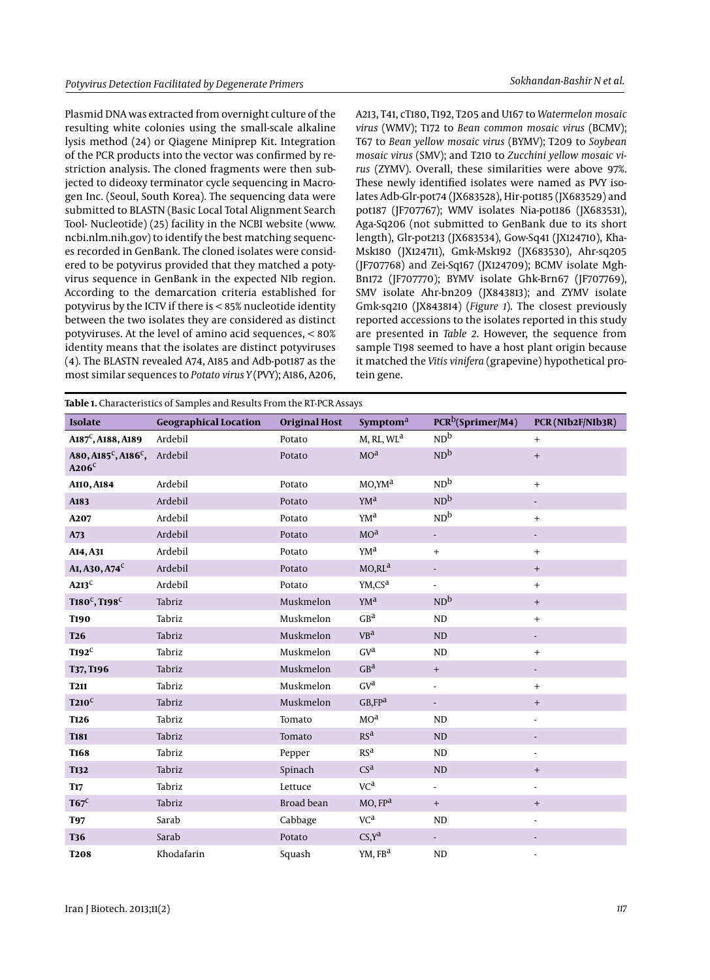Plasmid DNA was extracted from overnight culture of the resulting white colonies using the small-scale alkaline lysis method (24) or Qiagene Miniprep Kit. Integration of the PCR products into the vector was confirmed by restriction analysis. The cloned fragments were then subjected to dideoxy terminator cycle sequencing in Macrogen Inc. (Seoul, South Korea). The sequencing data were submitted to BLASTN (Basic Local Total Alignment Search Tool- Nucleotide) (25) facility in the NCBI website (www. ncbi.nlm.nih.gov) to identify the best matching sequences recorded in GenBank. The cloned isolates were considered to be potyvirus provided that they matched a potyvirus sequence in GenBank in the expected NIb region. According to the demarcation criteria established for potyvirus by the ICTV if there is < 85% nucleotide identity between the two isolates they are considered as distinct potyviruses. At the level of amino acid sequences, < 80% identity means that the isolates are distinct potyviruses (4). The BLASTN revealed A74, A185 and Adb-pot187 as the most similar sequences to *Potato virus Y* (PVY); A186, A206,

A213, T41, cT180, T192, T205 and U167 to *Watermelon mosaic virus* (WMV); T172 to *Bean common mosaic virus* (BCMV); T67 to *Bean yellow mosaic virus* (BYMV); T209 to *Soybean mosaic virus* (SMV); and T210 to *Zucchini yellow mosaic virus* (ZYMV). Overall, these similarities were above 97%. These newly identified isolates were named as PVY isolates Adb-Glr-pot74 (JX683528), Hir-pot185 (JX683529) and pot187 (JF707767); WMV isolates Nia-pot186 (JX683531), Aga-Sq206 (not submitted to GenBank due to its short length), Glr-pot213 (JX683534), Gow-Sq41 (JX124710), Kha-Msk180 (JX124711), Gmk-Msk192 (JX683530), Ahr-sq205 (JF707768) and Zei-Sq167 (JX124709); BCMV isolate Mgh-Bn172 (JF707770); BYMV isolate Ghk-Brn67 (JF707769), SMV isolate Ahr-bn209 (JX843813); and ZYMV isolate Gmk-sq210 (JX843814) (*Figure 1*). The closest previously reported accessions to the isolates reported in this study are presented in *Table 2*. However, the sequence from sample T198 seemed to have a host plant origin because it matched the *Vitis vinifera* (grapevine) hypothetical protein gene.

| <b>Isolate</b>                                                   | <b>Geographical Location</b> | <b>Original Host</b> | Symptom <sup>a</sup>   | PCR <sup>b</sup> (Sprimer/M4) | PCR (NIb2F/NIb3R)                |
|------------------------------------------------------------------|------------------------------|----------------------|------------------------|-------------------------------|----------------------------------|
| $A187^C$ , A188, A189                                            | Ardebil                      | Potato               | M, RL, WL <sup>a</sup> | ND <sup>b</sup>               | $\qquad \qquad +$                |
| A80, A185 <sup>c</sup> , A186 <sup>c</sup> , Ardebil<br>$A206^C$ |                              | Potato               | MO <sup>3</sup>        | ND <sup>b</sup>               | $\qquad \qquad +$                |
| A110, A184                                                       | Ardebil                      | Potato               | MO,YM <sup>a</sup>     | ND <sup>b</sup>               | $+$                              |
| A183                                                             | Ardebil                      | Potato               | YM <sup>a</sup>        | ND <sup>b</sup>               | $\overline{\phantom{a}}$         |
| A <sub>2</sub> 07                                                | Ardebil                      | Potato               | YM <sup>a</sup>        | ND <sup>b</sup>               | $\qquad \qquad +$                |
| A73                                                              | Ardebil                      | Potato               | MO <sup>3</sup>        | ÷,                            |                                  |
| A14, A31                                                         | Ardebil                      | Potato               | YM <sup>a</sup>        | $+$                           | $+$                              |
| A1, A30, A74 <sup>C</sup>                                        | Ardebil                      | Potato               | MO, RL <sup>a</sup>    | $\overline{\phantom{a}}$      | $\qquad \qquad +$                |
| $A213$ <sup>C</sup>                                              | Ardebil                      | Potato               | YM, CS <sup>a</sup>    | $\blacksquare$                | $+$                              |
| $T180^C, T198^C$                                                 | Tabriz                       | Muskmelon            | YM <sup>a</sup>        | ND <sup>b</sup>               | $\qquad \qquad +$                |
| <b>T190</b>                                                      | Tabriz                       | Muskmelon            | GB <sup>a</sup>        | ND                            | $+$                              |
| <b>T26</b>                                                       | Tabriz                       | Muskmelon            | VB <sup>a</sup>        | ND                            | $\overline{\phantom{a}}$         |
| $T192^C$                                                         | Tabriz                       | Muskmelon            | GV <sup>a</sup>        | ND                            | $+$                              |
| T37, T196                                                        | Tabriz                       | Muskmelon            | GB <sup>a</sup>        | $+$                           |                                  |
| <b>T211</b>                                                      | Tabriz                       | Muskmelon            | GVa                    | $\overline{\phantom{a}}$      | $+$                              |
| $T210^C$                                                         | Tabriz                       | Muskmelon            | $GB$ , $FPa$           | $\blacksquare$                | $\qquad \qquad +$                |
| <b>T126</b>                                                      | Tabriz                       | Tomato               | MO <sup>a</sup>        | ND                            | $\overline{\phantom{a}}$         |
| <b>T181</b>                                                      | Tabriz                       | Tomato               | RS <sup>a</sup>        | ND                            |                                  |
| <b>T168</b>                                                      | Tabriz                       | Pepper               | RS <sup>a</sup>        | ND                            | $\overline{\phantom{a}}$         |
| <b>T132</b>                                                      | Tabriz                       | Spinach              | CS <sup>a</sup>        | ND                            | $\begin{array}{c} + \end{array}$ |
| <b>T17</b>                                                       | Tabriz                       | Lettuce              | VC <sup>a</sup>        | $\overline{\phantom{a}}$      | $\overline{\phantom{a}}$         |
| $T67^C$                                                          | Tabriz                       | Broad bean           | MO, FP <sup>a</sup>    | $+$                           | $\qquad \qquad +$                |
| <b>T97</b>                                                       | Sarab                        | Cabbage              | VC <sup>a</sup>        | ND                            | $\overline{\phantom{a}}$         |
| <b>T36</b>                                                       | Sarab                        | Potato               | $CS, Y^a$              | ÷.                            |                                  |
| <b>T208</b>                                                      | Khodafarin                   | Squash               | YM, FB <sup>a</sup>    | ND                            |                                  |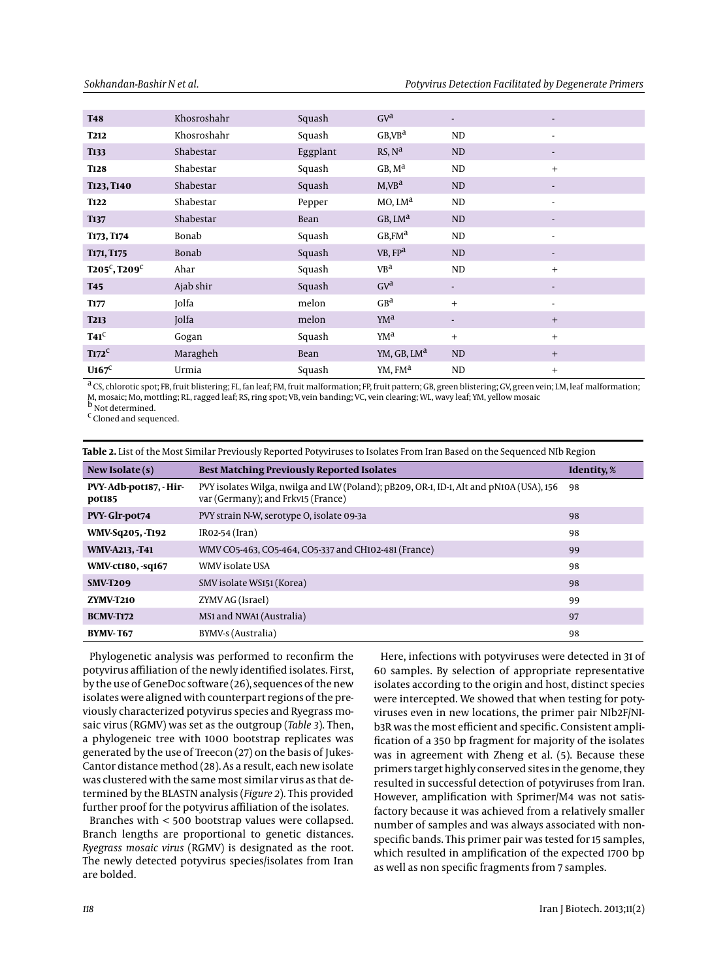| <b>T48</b>          | Khosroshahr | Squash   | GV <sup>d</sup>         | ٠                        | $\overline{\phantom{a}}$ |
|---------------------|-------------|----------|-------------------------|--------------------------|--------------------------|
| <b>T212</b>         | Khosroshahr | Squash   | GB,VB <sup>a</sup>      | ND                       | $\overline{\phantom{a}}$ |
| <b>T133</b>         | Shabestar   | Eggplant | RS, N <sup>d</sup>      | <b>ND</b>                |                          |
| <b>T128</b>         | Shabestar   | Squash   | GB, M <sup>d</sup>      | ND                       | $+$                      |
| T123, T140          | Shabestar   | Squash   | M,VB <sup>a</sup>       | <b>ND</b>                |                          |
| <b>T122</b>         | Shabestar   | Pepper   | $MO$ , $LMa$            | ND                       | $\overline{\phantom{a}}$ |
| <b>T137</b>         | Shabestar   | Bean     | $GB$ , $LMa$            | ND                       |                          |
| T173, T174          | Bonab       | Squash   | $GB$ FM <sup>a</sup>    | ND                       | $\blacksquare$           |
| T171, T175          | Bonab       | Squash   | VB, FP <sup>a</sup>     | <b>ND</b>                |                          |
| $T205^C$ , $T209^C$ | Ahar        | Squash   | VB <sup>a</sup>         | ND                       | $+$                      |
| <b>T45</b>          | Ajab shir   | Squash   | GV <sup>d</sup>         | $\overline{\phantom{a}}$ |                          |
| <b>T177</b>         | Jolfa       | melon    | GB <sup>a</sup>         | $+$                      | $\overline{\phantom{a}}$ |
| <b>T213</b>         | Jolfa       | melon    | YM <sup>a</sup>         | $\overline{\phantom{a}}$ | $+$                      |
| $T41^C$             | Gogan       | Squash   | YM <sup>a</sup>         | $^{+}$                   | $+$                      |
| $T172^C$            | Maragheh    | Bean     | YM, GB, LM <sup>a</sup> | ND                       | $+$                      |
| $U167^C$            | Urmia       | Squash   | YM, FM <sup>a</sup>     | ND                       | $+$                      |

a CS, chlorotic spot; FB, fruit blistering; FL, fan leaf; FM, fruit malformation; FP, fruit pattern; GB, green blistering; GV, green vein; LM, leaf malformation; M, mosaic; Mo, mottling; RL, ragged leaf; RS, ring spot; VB, vein banding; VC, vein clearing; WL, wavy leaf; YM, yellow mosaic<br><sup>b</sup> Not determined.

c Cloned and sequenced.

| Table 2. List of the MOSt Shimar Previously Reported Potyviruses to isolates From Iran Based on the Sequenced Nib Region |                                                                                                                               |                    |  |
|--------------------------------------------------------------------------------------------------------------------------|-------------------------------------------------------------------------------------------------------------------------------|--------------------|--|
| New Isolate $(s)$                                                                                                        | <b>Best Matching Previously Reported Isolates</b>                                                                             | <b>Identity, %</b> |  |
| PVY-Adb-pot187, - Hir-<br>pot185                                                                                         | PVY isolates Wilga, nwilga and LW (Poland); pB209, OR-1, ID-1, Alt and pN10A (USA), 156<br>var (Germany); and Frkv15 (France) | 98                 |  |
| PVY-Glr-pot74                                                                                                            | PVY strain N-W, serotype O, isolate 09-3a                                                                                     | 98                 |  |
| WMV-Sq205, -T192                                                                                                         | $IRO2-54 (Iran)$                                                                                                              | 98                 |  |
| <b>WMV-A213, -T41</b>                                                                                                    | WMV CO5-463, CO5-464, CO5-337 and CH102-481 (France)                                                                          | 99                 |  |
| <b>WMV-ct180, -sq167</b>                                                                                                 | WMV isolate USA                                                                                                               | 98                 |  |
| <b>SMV-T209</b>                                                                                                          | SMV isolate WS151 (Korea)                                                                                                     | 98                 |  |
| <b>ZYMV-T210</b>                                                                                                         | ZYMV AG (Israel)                                                                                                              | 99                 |  |
| <b>BCMV-T172</b>                                                                                                         | MS <sub>1</sub> and NWA <sub>1</sub> (Australia)                                                                              | 97                 |  |
| <b>BYMV-T67</b>                                                                                                          | BYMV-s (Australia)                                                                                                            | 98                 |  |

**Table 2.** List of the Most Similar Previously Reported Potyviruses to Isolates From Iran Based on the Sequenced NIb Region

Phylogenetic analysis was performed to reconfirm the potyvirus affiliation of the newly identified isolates. First, by the use of GeneDoc software (26), sequences of the new isolates were aligned with counterpart regions of the previously characterized potyvirus species and Ryegrass mosaic virus (RGMV) was set as the outgroup (*Table 3*). Then, a phylogeneic tree with 1000 bootstrap replicates was generated by the use of Treecon (27) on the basis of Jukes-Cantor distance method (28). As a result, each new isolate was clustered with the same most similar virus as that determined by the BLASTN analysis (*Figure 2*). This provided further proof for the potyvirus affiliation of the isolates.

Branches with < 500 bootstrap values were collapsed. Branch lengths are proportional to genetic distances. *Ryegrass mosaic virus* (RGMV) is designated as the root. The newly detected potyvirus species/isolates from Iran are bolded.

Here, infections with potyviruses were detected in 31 of 60 samples. By selection of appropriate representative isolates according to the origin and host, distinct species were intercepted. We showed that when testing for potyviruses even in new locations, the primer pair NIb2F/NIb3R was the most efficient and specific. Consistent amplification of a 350 bp fragment for majority of the isolates was in agreement with Zheng et al. (5). Because these primers target highly conserved sites in the genome, they resulted in successful detection of potyviruses from Iran. However, amplification with Sprimer/M4 was not satisfactory because it was achieved from a relatively smaller number of samples and was always associated with nonspecific bands. This primer pair was tested for 15 samples, which resulted in amplification of the expected 1700 bp as well as non specific fragments from 7 samples.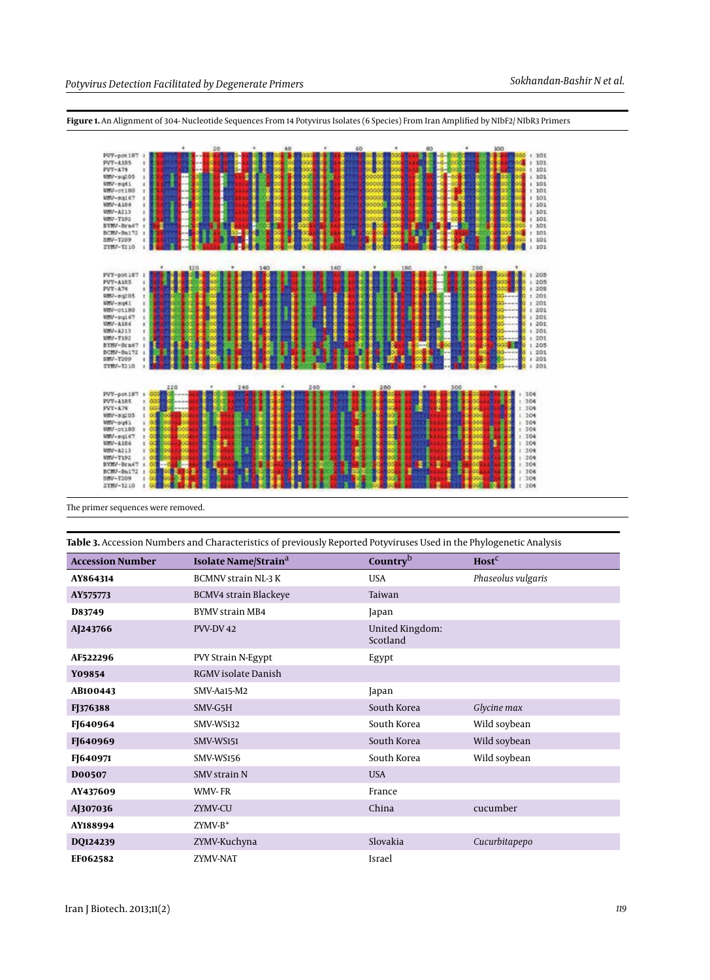

**Figure 1.** An Alignment of 304- Nucleotide Sequences From 14 Potyvirus Isolates (6 Species) From Iran Amplified by NIbF2/ NIbR3 Primers

The primer sequences were removed.

**Table 3.** Accession Numbers and Characteristics of previously Reported Potyviruses Used in the Phylogenetic Analysis

| <b>Accession Number</b> | Isolate Name/Strain <sup>a</sup> | Country <sup>b</sup>        | Host <sup>C</sup>  |
|-------------------------|----------------------------------|-----------------------------|--------------------|
| AY864314                | <b>BCMNV strain NL-3 K</b>       | <b>USA</b>                  | Phaseolus vulgaris |
| AY575773                | <b>BCMV4 strain Blackeye</b>     | Taiwan                      |                    |
| D83749                  | <b>BYMV</b> strain MB4           | Japan                       |                    |
| AJ243766                | PVV-DV 42                        | United Kingdom:<br>Scotland |                    |
| AF522296                | PVY Strain N-Egypt               | Egypt                       |                    |
| Y09854                  | <b>RGMV</b> isolate Danish       |                             |                    |
| AB100443                | SMV-Aa15-M2                      | Japan                       |                    |
| FJ376388                | SMV-G5H                          | South Korea                 | Glycine max        |
| FJ640964                | SMV-WS132                        | South Korea                 | Wild soybean       |
| FJ640969                | SMV-WS151                        | South Korea                 | Wild soybean       |
| FJ640971                | SMV-WS156                        | South Korea                 | Wild soybean       |
| D00507                  | <b>SMV strain N</b>              | <b>USA</b>                  |                    |
| AY437609                | <b>WMV-FR</b>                    | France                      |                    |
| AJ307036                | ZYMV-CU                          | China                       | cucumber           |
| AY188994                | $ZYMV-B^*$                       |                             |                    |
| DQ124239                | ZYMV-Kuchyna                     | Slovakia                    | Cucurbitapepo      |
| EF062582                | ZYMV-NAT                         | Israel                      |                    |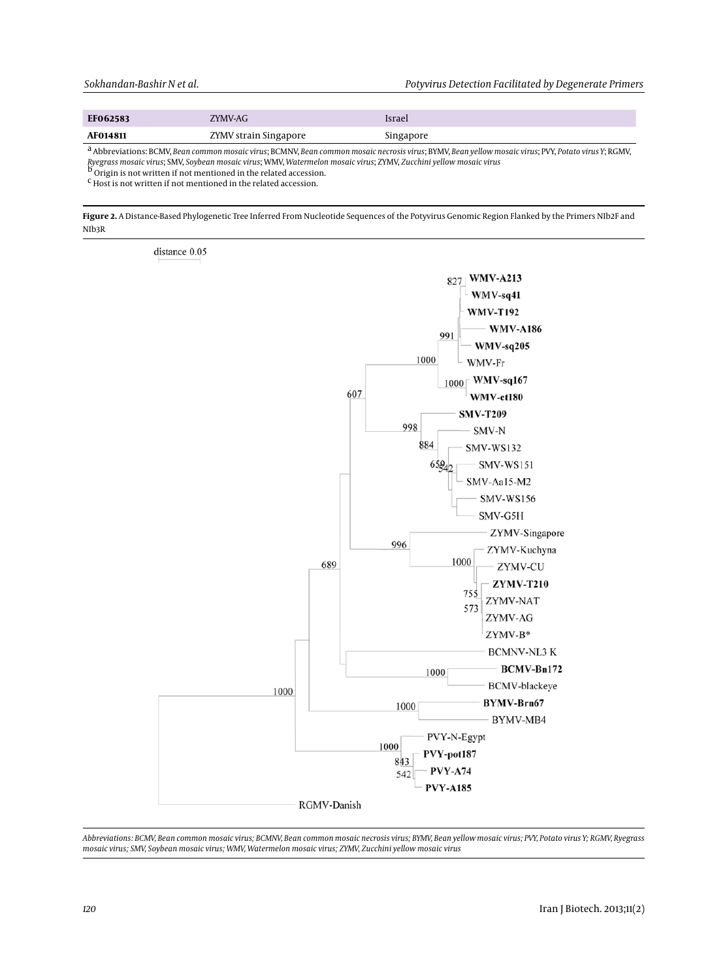| EF062583        | ZYMV-AG               | Israel    |
|-----------------|-----------------------|-----------|
| <b>AF014811</b> | ZYMV strain Singapore | Singapore |

a Abbreviations: BCMV, *Bean common mosaic virus*; BCMNV, *Bean common mosaic necrosis virus*; BYMV, *Bean yellow mosaic virus*; PVY, *Potato virus Y*; RGMV, *Ryegrass mosaic virus*; SMV, *Soybean mosaic virus*; WMV, *Watermelon mosaic virus*; ZYMV, *Zucchini yellow mosaic virus* b Origin is not written if not mentioned in the related accession.

c Host is not written if not mentioned in the related accession.

**Figure 2.** A Distance-Based Phylogenetic Tree Inferred From Nucleotide Sequences of the Potyvirus Genomic Region Flanked by the Primers NIb2F and NIb3R



*Abbreviations: BCMV, Bean common mosaic virus; BCMNV, Bean common mosaic necrosis virus; BYMV, Bean yellow mosaic virus; PVY, Potato virus Y; RGMV, Ryegrass mosaic virus; SMV, Soybean mosaic virus; WMV, Watermelon mosaic virus; ZYMV, Zucchini yellow mosaic virus*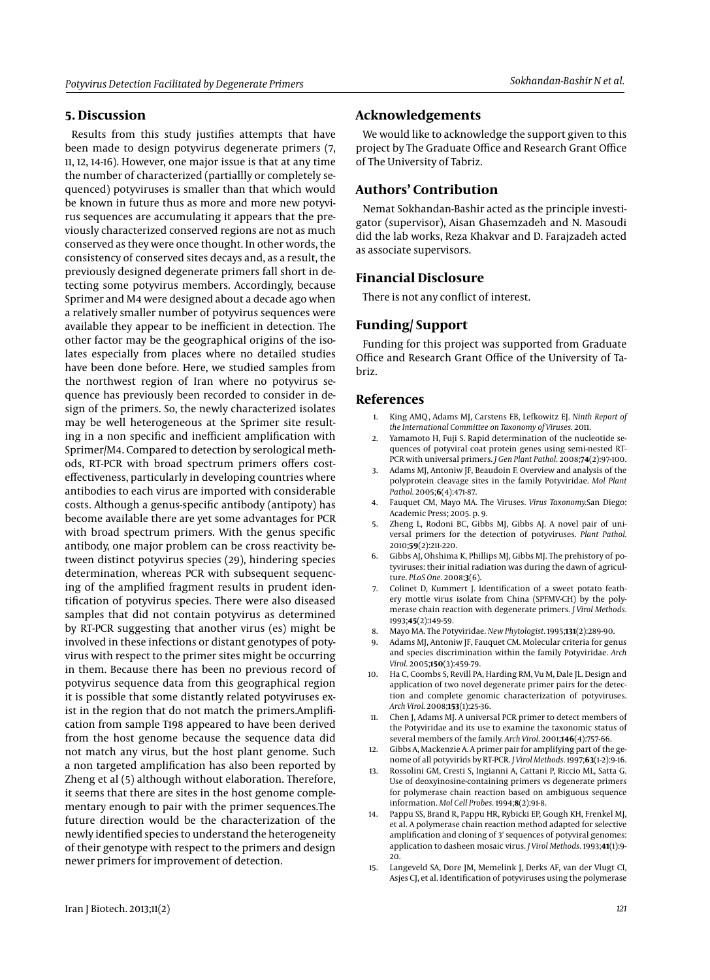## **5. Discussion**

Results from this study justifies attempts that have been made to design potyvirus degenerate primers (7, 11, 12, 14-16). However, one major issue is that at any time the number of characterized (partiallly or completely sequenced) potyviruses is smaller than that which would be known in future thus as more and more new potyvirus sequences are accumulating it appears that the previously characterized conserved regions are not as much conserved as they were once thought. In other words, the consistency of conserved sites decays and, as a result, the previously designed degenerate primers fall short in detecting some potyvirus members. Accordingly, because Sprimer and M4 were designed about a decade ago when a relatively smaller number of potyvirus sequences were available they appear to be inefficient in detection. The other factor may be the geographical origins of the isolates especially from places where no detailed studies have been done before. Here, we studied samples from the northwest region of Iran where no potyvirus sequence has previously been recorded to consider in design of the primers. So, the newly characterized isolates may be well heterogeneous at the Sprimer site resulting in a non specific and inefficient amplification with Sprimer/M4. Compared to detection by serological methods, RT-PCR with broad spectrum primers offers costeffectiveness, particularly in developing countries where antibodies to each virus are imported with considerable costs. Although a genus-specific antibody (antipoty) has become available there are yet some advantages for PCR with broad spectrum primers. With the genus specific antibody, one major problem can be cross reactivity between distinct potyvirus species (29), hindering species determination, whereas PCR with subsequent sequencing of the amplified fragment results in prudent identification of potyvirus species. There were also diseased samples that did not contain potyvirus as determined by RT-PCR suggesting that another virus (es) might be involved in these infections or distant genotypes of potyvirus with respect to the primer sites might be occurring in them. Because there has been no previous record of potyvirus sequence data from this geographical region it is possible that some distantly related potyviruses exist in the region that do not match the primers.Amplification from sample T198 appeared to have been derived from the host genome because the sequence data did not match any virus, but the host plant genome. Such a non targeted amplification has also been reported by Zheng et al (5) although without elaboration. Therefore, it seems that there are sites in the host genome complementary enough to pair with the primer sequences.The future direction would be the characterization of the newly identified species to understand the heterogeneity of their genotype with respect to the primers and design newer primers for improvement of detection.

## **Acknowledgements**

We would like to acknowledge the support given to this project by The Graduate Office and Research Grant Office of The University of Tabriz.

# **Authors' Contribution**

Nemat Sokhandan-Bashir acted as the principle investigator (supervisor), Aisan Ghasemzadeh and N. Masoudi did the lab works, Reza Khakvar and D. Farajzadeh acted as associate supervisors.

## **Financial Disclosure**

There is not any conflict of interest.

## **Funding/ Support**

Funding for this project was supported from Graduate Office and Research Grant Office of the University of Tabriz.

### **References**

- 1. King AMQ, Adams MJ, Carstens EB, Lefkowitz EJ. *Ninth Report of the International Committee on Taxonomy of Viruses.* 2011.
- 2. Yamamoto H, Fuji S. Rapid determination of the nucleotide sequences of potyviral coat protein genes using semi-nested RT-PCR with universal primers. *J Gen Plant Pathol.* 2008;**74**(2):97-100.
- Adams MJ, Antoniw JF, Beaudoin F. Overview and analysis of the polyprotein cleavage sites in the family Potyviridae. *Mol Plant Pathol.* 2005;**6**(4):471-87.
- 4. Fauquet CM, Mayo MA. The Viruses. *Virus Taxonomy.*San Diego: Academic Press; 2005. p. 9.
- 5. Zheng L, Rodoni BC, Gibbs MJ, Gibbs AJ. A novel pair of universal primers for the detection of potyviruses. *Plant Pathol.* 2010;**59**(2):211-220.
- 6. Gibbs AJ, Ohshima K, Phillips MJ, Gibbs MJ. The prehistory of potyviruses: their initial radiation was during the dawn of agriculture. *PLoS One.* 2008;**3**(6).
- 7. Colinet D, Kummert J. Identification of a sweet potato feathery mottle virus isolate from China (SPFMV-CH) by the polymerase chain reaction with degenerate primers. *J Virol Methods.* 1993;**45**(2):149-59.
- 8. Mayo MA. The Potyviridae. *New Phytologist.* 1995;**131**(2):289-90.
- 9. Adams MJ, Antoniw JF, Fauquet CM. Molecular criteria for genus and species discrimination within the family Potyviridae. *Arch Virol.* 2005;**150**(3):459-79.
- 10. Ha C, Coombs S, Revill PA, Harding RM, Vu M, Dale JL. Design and application of two novel degenerate primer pairs for the detection and complete genomic characterization of potyviruses. *Arch Virol.* 2008;**153**(1):25-36.
- 11. Chen J, Adams MJ. A universal PCR primer to detect members of the Potyviridae and its use to examine the taxonomic status of several members of the family. *Arch Virol.* 2001;**146**(4):757-66.
- 12. Gibbs A, Mackenzie A. A primer pair for amplifying part of the genome of all potyvirids by RT-PCR. *J Virol Methods.* 1997;**63**(1-2):9-16.
- 13. Rossolini GM, Cresti S, Ingianni A, Cattani P, Riccio ML, Satta G. Use of deoxyinosine-containing primers vs degenerate primers for polymerase chain reaction based on ambiguous sequence information. *Mol Cell Probes.* 1994;**8**(2):91-8.
- 14. Pappu SS, Brand R, Pappu HR, Rybicki EP, Gough KH, Frenkel MJ, et al. A polymerase chain reaction method adapted for selective amplification and cloning of 3' sequences of potyviral genomes: application to dasheen mosaic virus. *J Virol Methods.* 1993;**41**(1):9- 20.
- 15. Langeveld SA, Dore JM, Memelink J, Derks AF, van der Vlugt CI, Asjes CJ, et al. Identification of potyviruses using the polymerase